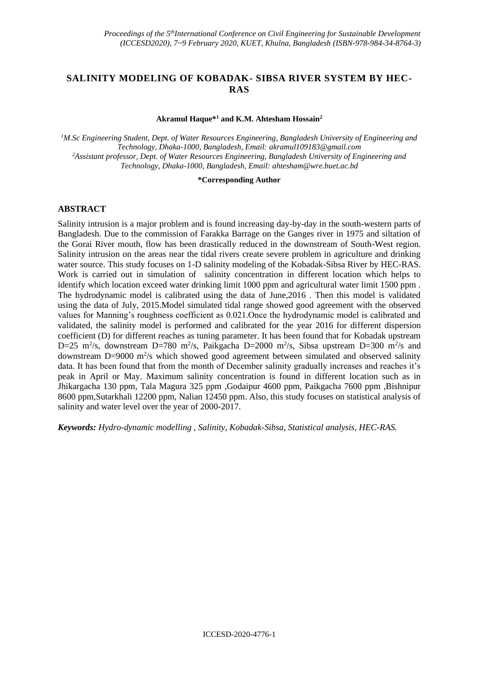# **SALINITY MODELING OF KOBADAK- SIBSA RIVER SYSTEM BY HEC-RAS**

### **Akramul Haque\*<sup>1</sup> and K.M. Ahtesham Hossain<sup>2</sup>**

*<sup>1</sup>M.Sc Engineering Student, Dept. of Water Resources Engineering, Bangladesh University of Engineering and Technology, Dhaka-1000, Bangladesh, Email: [akramul109183@gmail.com](mailto:akramul109183@gmail.com) <sup>2</sup>Assistant professor, Dept. of Water Resources Engineering, Bangladesh University of Engineering and Technology, Dhaka-1000, Bangladesh, Email[: ahtesham@wre.buet.ac.bd](mailto:ahtesham@wre.buet.ac.bd)*

#### **\*Corresponding Author**

### **ABSTRACT**

Salinity intrusion is a major problem and is found increasing day-by-day in the south-western parts of Bangladesh. Due to the commission of Farakka Barrage on the Ganges river in 1975 and siltation of the Gorai River mouth, flow has been drastically reduced in the downstream of South-West region. Salinity intrusion on the areas near the tidal rivers create severe problem in agriculture and drinking water source. This study focuses on 1-D salinity modeling of the Kobadak-Sibsa River by HEC-RAS. Work is carried out in simulation of salinity concentration in different location which helps to identify which location exceed water drinking limit 1000 ppm and agricultural water limit 1500 ppm . The hydrodynamic model is calibrated using the data of June,2016 . Then this model is validated using the data of July, 2015.Model simulated tidal range showed good agreement with the observed values for Manning's roughness coefficient as 0.021.Once the hydrodynamic model is calibrated and validated, the salinity model is performed and calibrated for the year 2016 for different dispersion coefficient (D) for different reaches as tuning parameter. It has been found that for Kobadak upstream D=25 m<sup>2</sup>/s, downstream D=780 m<sup>2</sup>/s, Paikgacha D=2000 m<sup>2</sup>/s, Sibsa upstream D=300 m<sup>2</sup>/s and downstream D=9000 m<sup>2</sup>/s which showed good agreement between simulated and observed salinity data. It has been found that from the month of December salinity gradually increases and reaches it's peak in April or May. Maximum salinity concentration is found in different location such as in Jhikargacha 130 ppm, Tala Magura 325 ppm ,Godaipur 4600 ppm, Paikgacha 7600 ppm ,Bishnipur 8600 ppm,Sutarkhali 12200 ppm, Nalian 12450 ppm. Also, this study focuses on statistical analysis of salinity and water level over the year of 2000-2017.

*Keywords: Hydro-dynamic modelling , Salinity, Kobadak-Sibsa, Statistical analysis, HEC-RAS.*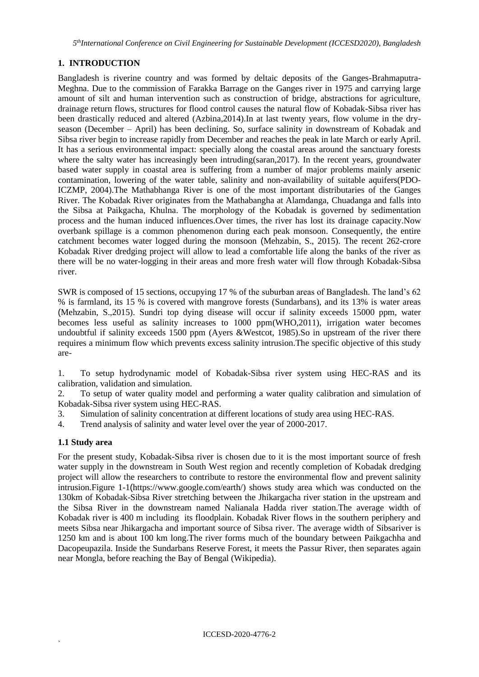*5 thInternational Conference on Civil Engineering for Sustainable Development (ICCESD2020), Bangladesh*

# **1. INTRODUCTION**

Bangladesh is riverine country and was formed by deltaic deposits of the Ganges-Brahmaputra-Meghna. Due to the commission of Farakka Barrage on the Ganges river in 1975 and carrying large amount of silt and human intervention such as construction of bridge, abstractions for agriculture, drainage return flows, structures for flood control causes the natural flow of Kobadak-Sibsa river has been drastically reduced and altered (Azbina,2014).In at last twenty years, flow volume in the dryseason (December – April) has been declining. So, surface salinity in downstream of Kobadak and Sibsa river begin to increase rapidly from December and reaches the peak in late March or early April. It has a serious environmental impact: specially along the coastal areas around the sanctuary forests where the salty water has increasingly been intruding(saran, 2017). In the recent years, groundwater based water supply in coastal area is suffering from a number of major problems mainly arsenic contamination, lowering of the water table, salinity and non-availability of suitable aquifers(PDO-ICZMP, 2004).The Mathabhanga River is one of the most important distributaries of the Ganges River. The Kobadak River originates from the Mathabangha at Alamdanga, Chuadanga and falls into the Sibsa at Paikgacha, Khulna. The morphology of the Kobadak is governed by sedimentation process and the human induced influences.Over times, the river has lost its drainage capacity.Now overbank spillage is a common phenomenon during each peak monsoon. Consequently, the entire catchment becomes water logged during the monsoon (Mehzabin, S., 2015). The recent 262-crore Kobadak River dredging project will allow to lead a comfortable life along the banks of the river as there will be no water-logging in their areas and more fresh water will flow through Kobadak-Sibsa river.

SWR is composed of 15 sections, occupying 17 % of the suburban areas of Bangladesh. The land's 62 % is farmland, its 15 % is covered with mangrove forests (Sundarbans), and its 13% is water areas (Mehzabin, S.,2015). Sundri top dying disease will occur if salinity exceeds 15000 ppm, water becomes less useful as salinity increases to 1000 ppm(WHO,2011), irrigation water becomes undoubtful if salinity exceeds 1500 ppm (Ayers &Westcot, 1985).So in upstream of the river there requires a minimum flow which prevents excess salinity intrusion.The specific objective of this study are-

1. To setup hydrodynamic model of Kobadak-Sibsa river system using HEC-RAS and its calibration, validation and simulation.

2. To setup of water quality model and performing a water quality calibration and simulation of Kobadak-Sibsa river system using HEC-RAS.

- 3. Simulation of salinity concentration at different locations of study area using HEC-RAS.
- 4. Trend analysis of salinity and water level over the year of 2000-2017.

### **1.1 Study area**

`

For the present study, Kobadak-Sibsa river is chosen due to it is the most important source of fresh water supply in the downstream in South West region and recently completion of Kobadak dredging project will allow the researchers to contribute to restore the environmental flow and prevent salinity intrusion.Figure 1-1(https://www.google.com/earth/) shows study area which was conducted on the 130km of Kobadak-Sibsa River stretching between the Jhikargacha river station in the upstream and the Sibsa River in the downstream named Nalianala Hadda river station.The average width of Kobadak river is 400 m including its floodplain. Kobadak River flows in the southern periphery and meets Sibsa near Jhikargacha and important source of Sibsa river. The average width of Sibsariver is 1250 km and is about 100 km long.The river forms much of the boundary between Paikgachha and Dacopeupazila. Inside the Sundarbans Reserve Forest, it meets the Passur River, then separates again near Mongla, before reaching the Bay of Bengal (Wikipedia).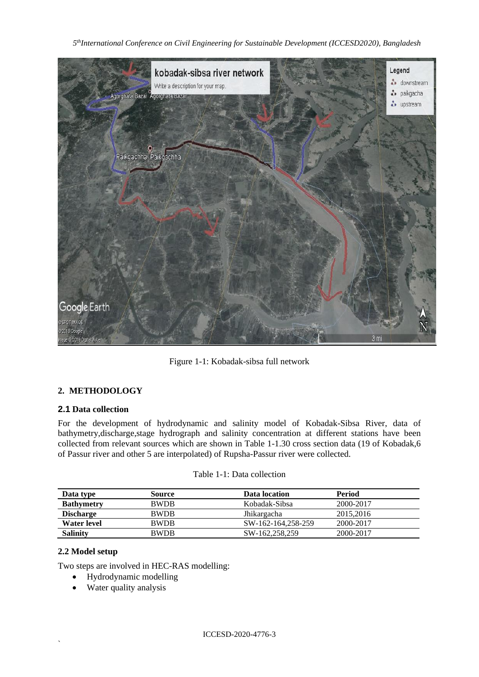

Figure 1-1: Kobadak-sibsa full network

# **2. METHODOLOGY**

### **2.1 Data collection**

For the development of hydrodynamic and salinity model of Kobadak-Sibsa River, data of bathymetry,discharge,stage hydrograph and salinity concentration at different stations have been collected from relevant sources which are shown in Table 1-1.30 cross section data (19 of Kobadak,6 of Passur river and other 5 are interpolated) of Rupsha-Passur river were collected.

| Data type         | <b>Source</b> | Data location      | <b>Period</b> |
|-------------------|---------------|--------------------|---------------|
| <b>Bathymetry</b> | <b>BWDB</b>   | Kobadak-Sibsa      | 2000-2017     |
| <b>Discharge</b>  | <b>BWDB</b>   | Jhikargacha        | 2015, 2016    |
| Water level       | <b>BWDB</b>   | SW-162-164.258-259 | 2000-2017     |
| <b>Salinity</b>   | <b>BWDB</b>   | SW-162,258,259     | 2000-2017     |

## Table 1-1: Data collection

## **2.2 Model setup**

`

Two steps are involved in HEC-RAS modelling:

- Hydrodynamic modelling
- Water quality analysis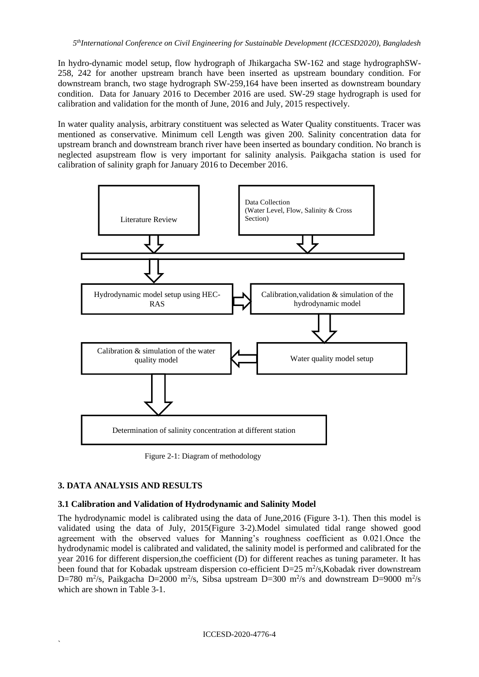In hydro-dynamic model setup, flow hydrograph of Jhikargacha SW-162 and stage hydrographSW-258, 242 for another upstream branch have been inserted as upstream boundary condition. For downstream branch, two stage hydrograph SW-259,164 have been inserted as downstream boundary condition. Data for January 2016 to December 2016 are used. SW-29 stage hydrograph is used for calibration and validation for the month of June, 2016 and July, 2015 respectively.

In water quality analysis, arbitrary constituent was selected as Water Quality constituents. Tracer was mentioned as conservative. Minimum cell Length was given 200. Salinity concentration data for upstream branch and downstream branch river have been inserted as boundary condition. No branch is neglected asupstream flow is very important for salinity analysis. Paikgacha station is used for calibration of salinity graph for January 2016 to December 2016.



Figure 2-1: Diagram of methodology

### **3. DATA ANALYSIS AND RESULTS**

`

### **3.1 Calibration and Validation of Hydrodynamic and Salinity Model**

The hydrodynamic model is calibrated using the data of June,2016 (Figure 3-1). Then this model is validated using the data of July, 2015(Figure 3-2).Model simulated tidal range showed good agreement with the observed values for Manning's roughness coefficient as 0.021.Once the hydrodynamic model is calibrated and validated, the salinity model is performed and calibrated for the year 2016 for different dispersion,the coefficient (D) for different reaches as tuning parameter. It has been found that for Kobadak upstream dispersion co-efficient  $D=25$  m<sup>2</sup>/s, Kobadak river downstream D=780 m<sup>2</sup>/s, Paikgacha D=2000 m<sup>2</sup>/s, Sibsa upstream D=300 m<sup>2</sup>/s and downstream D=9000 m<sup>2</sup>/s which are shown in Table 3-1.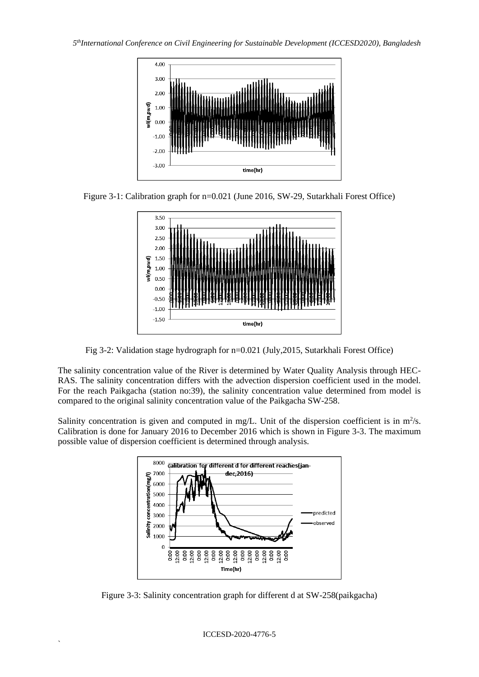

Figure 3-1: Calibration graph for n=0.021 (June 2016, SW-29, Sutarkhali Forest Office)



Fig 3-2: Validation stage hydrograph for n=0.021 (July,2015, Sutarkhali Forest Office)

The salinity concentration value of the River is determined by Water Quality Analysis through HEC-RAS. The salinity concentration differs with the advection dispersion coefficient used in the model. For the reach Paikgacha (station no:39), the salinity concentration value determined from model is compared to the original salinity concentration value of the Paikgacha SW-258.

Salinity concentration is given and computed in mg/L. Unit of the dispersion coefficient is in  $m^2/s$ . Calibration is done for January 2016 to December 2016 which is shown in Figure 3-3. The maximum possible value of dispersion coefficient is determined through analysis.



Figure 3-3: Salinity concentration graph for different d at SW-258(paikgacha)

ICCESD-2020-4776-5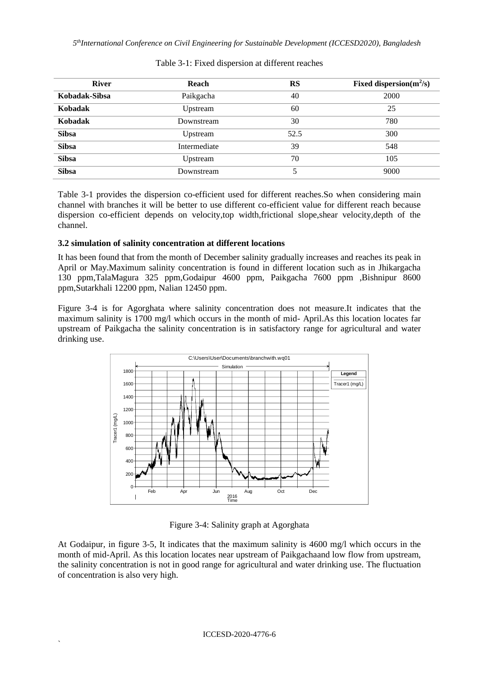| <b>River</b>  | Reach        | <b>RS</b> | Fixed dispersion $(m^2/s)$ |
|---------------|--------------|-----------|----------------------------|
| Kobadak-Sibsa | Paikgacha    | 40        | 2000                       |
| Kobadak       | Upstream     | 60        | 25                         |
| Kobadak       | Downstream   | 30        | 780                        |
| <b>Sibsa</b>  | Upstream     | 52.5      | 300                        |
| <b>Sibsa</b>  | Intermediate | 39        | 548                        |
| <b>Sibsa</b>  | Upstream     | 70        | 105                        |
| <b>Sibsa</b>  | Downstream   | 5         | 9000                       |

### Table 3-1: Fixed dispersion at different reaches

Table 3-1 provides the dispersion co-efficient used for different reaches.So when considering main channel with branches it will be better to use different co-efficient value for different reach because dispersion co-efficient depends on velocity,top width,frictional slope,shear velocity,depth of the channel.

### **3.2 simulation of salinity concentration at different locations**

It has been found that from the month of December salinity gradually increases and reaches its peak in April or May.Maximum salinity concentration is found in different location such as in Jhikargacha 130 ppm,TalaMagura 325 ppm,Godaipur 4600 ppm, Paikgacha 7600 ppm ,Bishnipur 8600 ppm,Sutarkhali 12200 ppm, Nalian 12450 ppm.

Figure 3-4 is for Agorghata where salinity concentration does not measure.It indicates that the maximum salinity is 1700 mg/l which occurs in the month of mid- April.As this location locates far upstream of Paikgacha the salinity concentration is in satisfactory range for agricultural and water drinking use.



Figure 3-4: Salinity graph at Agorghata

At Godaipur, in figure 3-5, It indicates that the maximum salinity is 4600 mg/l which occurs in the month of mid-April. As this location locates near upstream of Paikgachaand low flow from upstream, the salinity concentration is not in good range for agricultural and water drinking use. The fluctuation of concentration is also very high.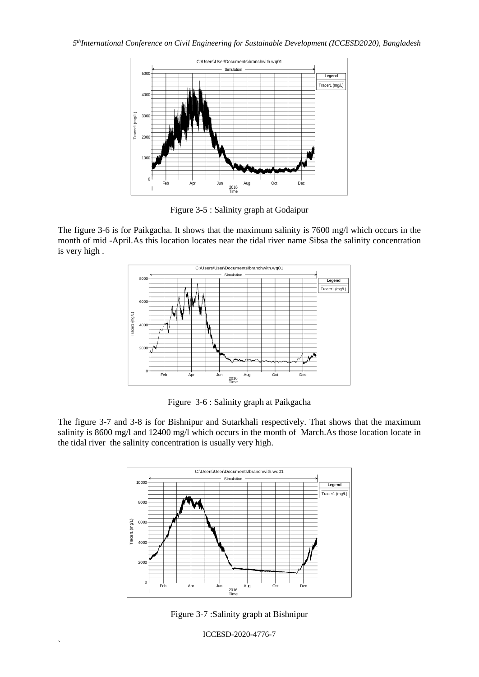

Figure 3-5 : Salinity graph at Godaipur

The figure 3-6 is for Paikgacha. It shows that the maximum salinity is 7600 mg/l which occurs in the month of mid -April.As this location locates near the tidal river name Sibsa the salinity concentration is very high .



Figure 3-6 : Salinity graph at Paikgacha

The figure 3-7 and 3-8 is for Bishnipur and Sutarkhali respectively. That shows that the maximum salinity is 8600 mg/l and 12400 mg/l which occurs in the month of March.As those location locate in the tidal river the salinity concentration is usually very high.



Figure 3-7 :Salinity graph at Bishnipur

ICCESD-2020-4776-7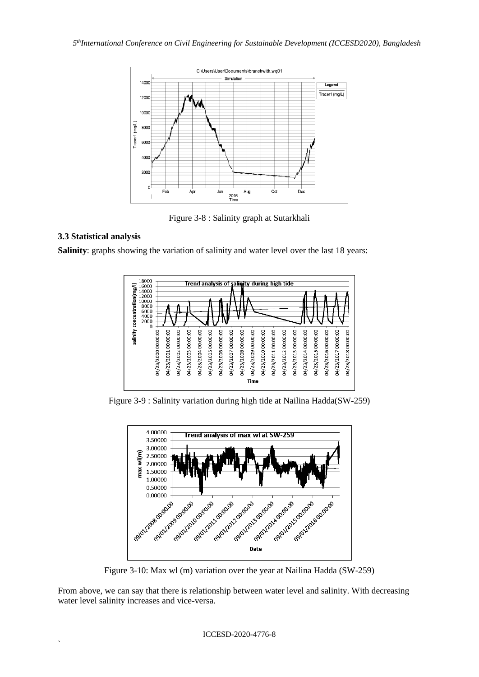

Figure 3-8 : Salinity graph at Sutarkhali

## **3.3 Statistical analysis**

`

**Salinity**: graphs showing the variation of salinity and water level over the last 18 years:



Figure 3-9 : Salinity variation during high tide at Nailina Hadda(SW-259)



Figure 3-10: Max wl (m) variation over the year at Nailina Hadda (SW-259)

From above, we can say that there is relationship between water level and salinity. With decreasing water level salinity increases and vice-versa.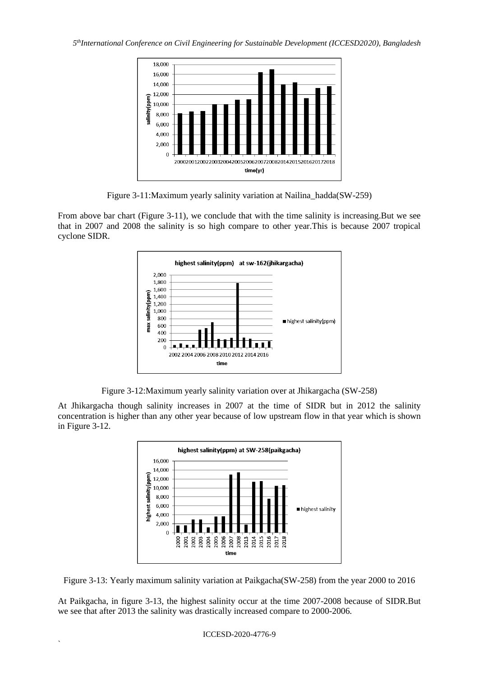

Figure 3-11:Maximum yearly salinity variation at Nailina\_hadda(SW-259)

From above bar chart (Figure 3-11), we conclude that with the time salinity is increasing.But we see that in 2007 and 2008 the salinity is so high compare to other year.This is because 2007 tropical cyclone SIDR.



Figure 3-12:Maximum yearly salinity variation over at Jhikargacha (SW-258)

At Jhikargacha though salinity increases in 2007 at the time of SIDR but in 2012 the salinity concentration is higher than any other year because of low upstream flow in that year which is shown in Figure 3-12.



Figure 3-13: Yearly maximum salinity variation at Paikgacha(SW-258) from the year 2000 to 2016

At Paikgacha, in figure 3-13, the highest salinity occur at the time 2007-2008 because of SIDR.But we see that after 2013 the salinity was drastically increased compare to 2000-2006.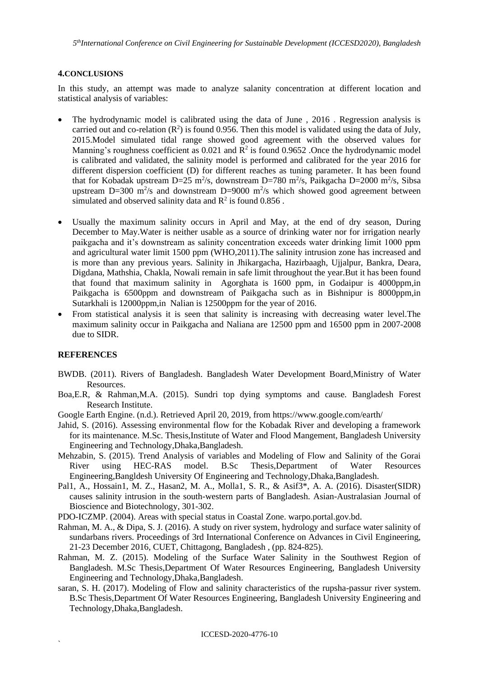#### **4.CONCLUSIONS**

In this study, an attempt was made to analyze salanity concentration at different location and statistical analysis of variables:

- The hydrodynamic model is calibrated using the data of June , 2016 . Regression analysis is carried out and co-relation  $(R^2)$  is found 0.956. Then this model is validated using the data of July, 2015.Model simulated tidal range showed good agreement with the observed values for Manning's roughness coefficient as  $0.021$  and  $\mathbb{R}^2$  is found  $0.9652$  . Once the hydrodynamic model is calibrated and validated, the salinity model is performed and calibrated for the year 2016 for different dispersion coefficient (D) for different reaches as tuning parameter. It has been found that for Kobadak upstream D=25 m<sup>2</sup>/s, downstream D=780 m<sup>2</sup>/s, Paikgacha D=2000 m<sup>2</sup>/s, Sibsa upstream D=300 m<sup>2</sup>/s and downstream D=9000 m<sup>2</sup>/s which showed good agreement between simulated and observed salinity data and  $\mathbb{R}^2$  is found 0.856.
- Usually the maximum salinity occurs in April and May, at the end of dry season, During December to May.Water is neither usable as a source of drinking water nor for irrigation nearly paikgacha and it's downstream as salinity concentration exceeds water drinking limit 1000 ppm and agricultural water limit 1500 ppm (WHO,2011).The salinity intrusion zone has increased and is more than any previous years. Salinity in Jhikargacha, Hazirbaagh, Ujjalpur, Bankra, Deara, Digdana, Mathshia, Chakla, Nowali remain in safe limit throughout the year.But it has been found that found that maximum salinity in Agorghata is 1600 ppm, in Godaipur is 4000ppm,in Paikgacha is 6500ppm and downstream of Paikgacha such as in Bishnipur is 8000ppm,in Sutarkhali is 12000ppm,in Nalian is 12500ppm for the year of 2016.
- From statistical analysis it is seen that salinity is increasing with decreasing water level.The maximum salinity occur in Paikgacha and Naliana are 12500 ppm and 16500 ppm in 2007-2008 due to SIDR.

#### **REFERENCES**

- BWDB. (2011). Rivers of Bangladesh. Bangladesh Water Development Board,Ministry of Water Resources.
- Boa,E.R, & Rahman,M.A. (2015). Sundri top dying symptoms and cause. Bangladesh Forest Research Institute.
- Google Earth Engine. (n.d.). Retrieved April 20, 2019, from https://www.google.com/earth/
- Jahid, S. (2016). Assessing environmental flow for the Kobadak River and developing a framework for its maintenance. M.Sc. Thesis,Institute of Water and Flood Mangement, Bangladesh University Engineering and Technology,Dhaka,Bangladesh.
- Mehzabin, S. (2015). Trend Analysis of variables and Modeling of Flow and Salinity of the Gorai River using HEC-RAS model. B.Sc Thesis,Department of Water Resources Engineering,Bangldesh University Of Engineering and Technology,Dhaka,Bangladesh.
- Pal1, A., Hossain1, M. Z., Hasan2, M. A., Molla1, S. R., & Asif3\*, A. A. (2016). Disaster(SIDR) causes salinity intrusion in the south-western parts of Bangladesh. Asian-Australasian Journal of Bioscience and Biotechnology, 301-302.
- PDO-ICZMP. (2004). Areas with special status in Coastal Zone. warpo.portal.gov.bd.
- Rahman, M. A., & Dipa, S. J. (2016). A study on river system, hydrology and surface water salinity of sundarbans rivers. Proceedings of 3rd International Conference on Advances in Civil Engineering, 21-23 December 2016, CUET, Chittagong, Bangladesh , (pp. 824-825).
- Rahman, M. Z. (2015). Modeling of the Surface Water Salinity in the Southwest Region of Bangladesh. M.Sc Thesis,Department Of Water Resources Engineering, Bangladesh University Engineering and Technology,Dhaka,Bangladesh.
- saran, S. H. (2017). Modeling of Flow and salinity characteristics of the rupsha-passur river system. B.Sc Thesis,Department Of Water Resources Engineering, Bangladesh University Engineering and Technology,Dhaka,Bangladesh.